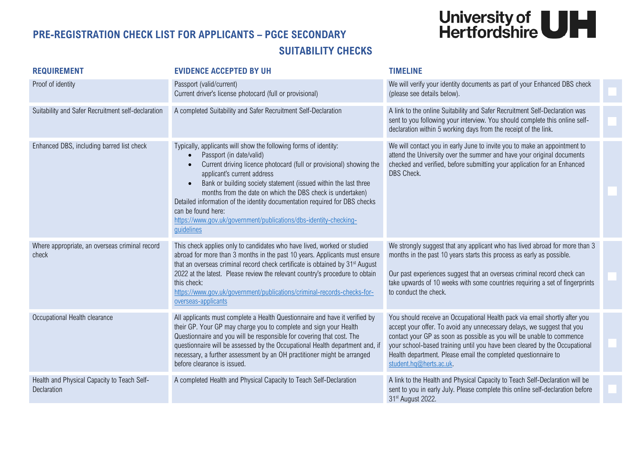## University of<br>Hertfordshire

## **PRE-REGISTRATION CHECK LIST FOR APPLICANTS – PGCE SECONDARY SUITABILITY CHECKS**

| <b>REQUIREMENT</b>                                         | <b>EVIDENCE ACCEPTED BY UH</b>                                                                                                                                                                                                                                                                                                                                                                                                                                                                                                           | <b>TIMELINE</b>                                                                                                                                                                                                                                                                                                                                                                                           |  |
|------------------------------------------------------------|------------------------------------------------------------------------------------------------------------------------------------------------------------------------------------------------------------------------------------------------------------------------------------------------------------------------------------------------------------------------------------------------------------------------------------------------------------------------------------------------------------------------------------------|-----------------------------------------------------------------------------------------------------------------------------------------------------------------------------------------------------------------------------------------------------------------------------------------------------------------------------------------------------------------------------------------------------------|--|
| Proof of identity                                          | Passport (valid/current)<br>Current driver's license photocard (full or provisional)                                                                                                                                                                                                                                                                                                                                                                                                                                                     | We will verify your identity documents as part of your Enhanced DBS check<br>(please see details below).                                                                                                                                                                                                                                                                                                  |  |
| Suitability and Safer Recruitment self-declaration         | A completed Suitability and Safer Recruitment Self-Declaration                                                                                                                                                                                                                                                                                                                                                                                                                                                                           | A link to the online Suitability and Safer Recruitment Self-Declaration was<br>sent to you following your interview. You should complete this online self-<br>declaration within 5 working days from the receipt of the link.                                                                                                                                                                             |  |
| Enhanced DBS, including barred list check                  | Typically, applicants will show the following forms of identity:<br>Passport (in date/valid)<br>$\bullet$<br>Current driving licence photocard (full or provisional) showing the<br>applicant's current address<br>Bank or building society statement (issued within the last three<br>months from the date on which the DBS check is undertaken)<br>Detailed information of the identity documentation required for DBS checks<br>can be found here:<br>https://www.gov.uk/government/publications/dbs-identity-checking-<br>guidelines | We will contact you in early June to invite you to make an appointment to<br>attend the University over the summer and have your original documents<br>checked and verified, before submitting your application for an Enhanced<br>DBS Check.                                                                                                                                                             |  |
| Where appropriate, an overseas criminal record<br>check    | This check applies only to candidates who have lived, worked or studied<br>abroad for more than 3 months in the past 10 years. Applicants must ensure<br>that an overseas criminal record check certificate is obtained by 31 <sup>st</sup> August<br>2022 at the latest. Please review the relevant country's procedure to obtain<br>this check:<br>https://www.qov.uk/qovernment/publications/criminal-records-checks-for-<br>overseas-applicants                                                                                      | We strongly suggest that any applicant who has lived abroad for more than 3<br>months in the past 10 years starts this process as early as possible.<br>Our past experiences suggest that an overseas criminal record check can<br>take upwards of 10 weeks with some countries requiring a set of fingerprints<br>to conduct the check.                                                                  |  |
| Occupational Health clearance                              | All applicants must complete a Health Questionnaire and have it verified by<br>their GP. Your GP may charge you to complete and sign your Health<br>Questionnaire and you will be responsible for covering that cost. The<br>questionnaire will be assessed by the Occupational Health department and, if<br>necessary, a further assessment by an OH practitioner might be arranged<br>before clearance is issued.                                                                                                                      | You should receive an Occupational Health pack via email shortly after you<br>accept your offer. To avoid any unnecessary delays, we suggest that you<br>contact your GP as soon as possible as you will be unable to commence<br>your school-based training until you have been cleared by the Occupational<br>Health department. Please email the completed questionnaire to<br>student.hq@herts.ac.uk. |  |
| Health and Physical Capacity to Teach Self-<br>Declaration | A completed Health and Physical Capacity to Teach Self-Declaration                                                                                                                                                                                                                                                                                                                                                                                                                                                                       | A link to the Health and Physical Capacity to Teach Self-Declaration will be<br>sent to you in early July. Please complete this online self-declaration before<br>31 <sup>st</sup> August 2022.                                                                                                                                                                                                           |  |